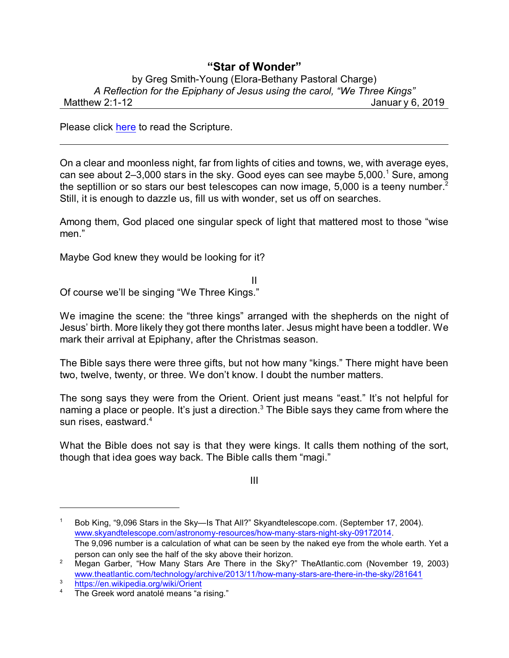## **"Star of Wonder"**

## by Greg Smith-Young (Elora-Bethany Pastoral Charge) *A Reflection for the Epiphany of Jesus using the carol, "We Three Kings"* Matthew 2:1-12 **Matthew 2:1-12** Januar y 6, 2019

Please click [here](https://www.biblegateway.com/passage/?search=Matthew+2%3A1-12&version=NRSV) to read the Scripture.

On a clear and moonless night, far from lights of cities and towns, we, with average eyes, can see about  $2-3,000$  stars in the sky. Good eyes can see maybe  $5,000$ .<sup>1</sup> Sure, among the septillion or so stars our best telescopes can now image, 5,000 is a teeny number.<sup>2</sup> Still, it is enough to dazzle us, fill us with wonder, set us off on searches.

Among them, God placed one singular speck of light that mattered most to those "wise men."

Maybe God knew they would be looking for it?

Of course we'll be singing "We Three Kings."

We imagine the scene: the "three kings" arranged with the shepherds on the night of Jesus' birth. More likely they got there months later. Jesus might have been a toddler. We mark their arrival at Epiphany, after the Christmas season.

II

The Bible says there were three gifts, but not how many "kings." There might have been two, twelve, twenty, or three. We don't know. I doubt the number matters.

The song says they were from the Orient. Orient just means "east." It's not helpful for naming a place or people. It's just a direction.<sup>3</sup> The Bible says they came from where the sun rises, eastward.<sup>4</sup>

What the Bible does not say is that they were kings. It calls them nothing of the sort, though that idea goes way back. The Bible calls them "magi."

III

<sup>1</sup> Bob King, "9,096 Stars in the Sky—Is That All?" Skyandtelescope.com. (September 17, 2004). [www.skyandtelescope.com/astronomy-resources/how-many-stars-night-sky-09172014](https://www.skyandtelescope.com/astronomy-resources/how-many-stars-night-sky-09172014/). The 9,096 number is a calculation of what can be seen by the naked eye from the whole earth. Yet a person can only see the half of the sky above their horizon.

<sup>&</sup>lt;sup>2</sup> Megan Garber, "How Many Stars Are There in the Sky?" TheAtlantic.com (November 19, 2003) [www.theatlantic.com/technology/archive/2013/11/how-many-stars-are-there-in-the-sky/281641](https://www.theatlantic.com/technology/archive/2013/11/how-many-stars-are-there-in-the-sky/281641/)

<sup>&</sup>lt;sup>3</sup> <https://en.wikipedia.org/wiki/Orient>

The Greek word anatolé means "a rising."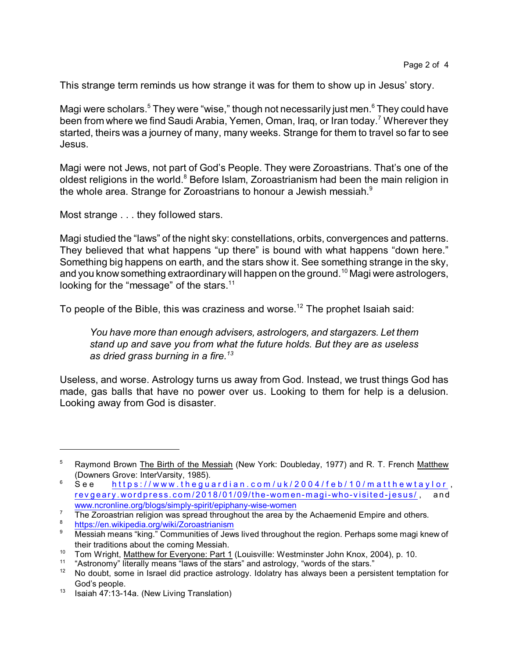This strange term reminds us how strange it was for them to show up in Jesus' story.

Magi were scholars.<sup>5</sup> They were "wise," though not necessarily just men.<sup>6</sup> They could have been from where we find Saudi Arabia, Yemen, Oman, Iraq, or Iran today.<sup>7</sup> Wherever they started, theirs was a journey of many, many weeks. Strange for them to travel so far to see Jesus.

Magi were not Jews, not part of God's People. They were Zoroastrians. That's one of the oldest religions in the world.<sup>8</sup> Before Islam, Zoroastrianism had been the main religion in the whole area. Strange for Zoroastrians to honour a Jewish messiah.<sup>9</sup>

Most strange . . . they followed stars.

Magi studied the "laws" of the night sky: constellations, orbits, convergences and patterns. They believed that what happens "up there" is bound with what happens "down here." Something big happens on earth, and the stars show it. See something strange in the sky, and you know something extraordinary will happen on the ground.<sup>10</sup> Magi were astrologers, looking for the "message" of the stars.<sup>11</sup>

To people of the Bible, this was craziness and worse. $^{12}$  The prophet Isaiah said:

*You have more than enough advisers, astrologers, and stargazers. Let them stand up and save you from what the future holds. But they are as useless as dried grass burning in a fire.<sup>13</sup>*

Useless, and worse. Astrology turns us away from God. Instead, we trust things God has made, gas balls that have no power over us. Looking to them for help is a delusion. Looking away from God is disaster.

<sup>&</sup>lt;sup>5</sup> Raymond Brown The Birth of the Messiah (New York: Doubleday, 1977) and R. T. French Matthew (Downers Grove: InterVarsity, 1985).

 $6$  See https://www.theguardian.co[m](https://www.theguardian.com/uk/2004/feb/10/matthewtaylor)/uk/2004/feb/10/matthewtaylor, revgeary.wordpress.com/2018/0[1/09/the-wom](https://revgeary.wordpress.com/2018/01/09/the-women-magi-who-visited-jesus/)en-magi-who-visited-jesus/, and [www.ncronline.org/blogs/simply-spirit/epiphany-wise-women](https://www.ncronline.org/blogs/simply-spirit/epiphany-wise-women)

 $7\quad$  The Zoroastrian religion was spread throughout the area by the Achaemenid Empire and others.

<sup>8</sup> <https://en.wikipedia.org/wiki/Zoroastrianism>

Messiah means "king." Communities of Jews lived throughout the region. Perhaps some magi knew of their traditions about the coming Messiah.

<sup>&</sup>lt;sup>10</sup> Tom Wright, <u>Matthew for Everyone: Part 1</u> (Louisville: Westminster John Knox, 2004), p. 10.

<sup>&</sup>lt;sup>11</sup> "Astronomy" literally means "laws of the stars" and astrology, "words of the stars."<br><sup>12</sup> No doubt, some in Israel did practice astrology, Idolatry has always been a persi

<sup>12</sup> No doubt, some in Israel did practice astrology. Idolatry has always been a persistent temptation for God's people.

 $13$  Isaiah 47:13-14a. (New Living Translation)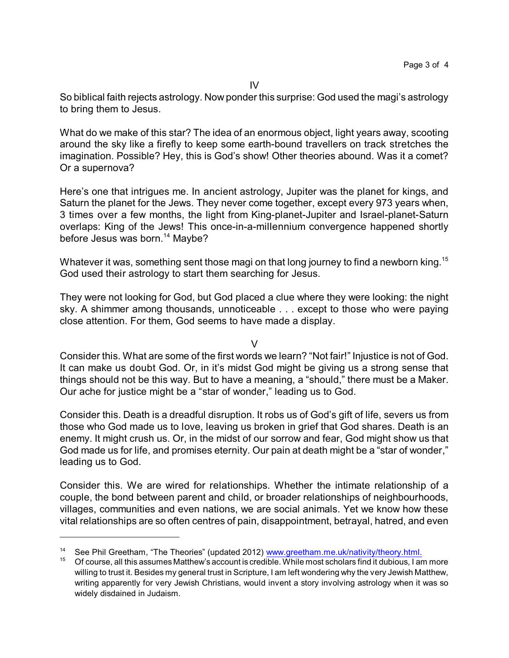So biblical faith rejects astrology. Now ponder this surprise: God used the magi's astrology to bring them to Jesus.

What do we make of this star? The idea of an enormous object, light years away, scooting around the sky like a firefly to keep some earth-bound travellers on track stretches the imagination. Possible? Hey, this is God's show! Other theories abound. Was it a comet? Or a supernova?

Here's one that intrigues me. In ancient astrology, Jupiter was the planet for kings, and Saturn the planet for the Jews. They never come together, except every 973 years when, 3 times over a few months, the light from King-planet-Jupiter and Israel-planet-Saturn overlaps: King of the Jews! This once-in-a-millennium convergence happened shortly before Jesus was born.<sup>14</sup> Maybe?

Whatever it was, something sent those magi on that long journey to find a newborn king.<sup>15</sup> God used their astrology to start them searching for Jesus.

They were not looking for God, but God placed a clue where they were looking: the night sky. A shimmer among thousands, unnoticeable . . . except to those who were paying close attention. For them, God seems to have made a display.

 $\overline{V}$ 

Consider this. What are some of the first words we learn? "Not fair!" Injustice is not of God. It can make us doubt God. Or, in it's midst God might be giving us a strong sense that things should not be this way. But to have a meaning, a "should," there must be a Maker. Our ache for justice might be a "star of wonder," leading us to God.

Consider this. Death is a dreadful disruption. It robs us of God's gift of life, severs us from those who God made us to love, leaving us broken in grief that God shares. Death is an enemy. It might crush us. Or, in the midst of our sorrow and fear, God might show us that God made us for life, and promises eternity. Our pain at death might be a "star of wonder," leading us to God.

Consider this. We are wired for relationships. Whether the intimate relationship of a couple, the bond between parent and child, or broader relationships of neighbourhoods, villages, communities and even nations, we are social animals. Yet we know how these vital relationships are so often centres of pain, disappointment, betrayal, hatred, and even

<sup>&</sup>lt;sup>14</sup> See Phil Greetham, "The Theories" (updated 2012) [www.greetham.me.uk/nativity/theory.html.](http://www.greetham.me.uk/nativity/theory.html)

<sup>&</sup>lt;sup>15</sup> Of course, all this assumes Matthew's account is credible. While most scholars find it dubious, I am more willing to trust it. Besides my general trust in Scripture, I am left wondering why the very Jewish Matthew, writing apparently for very Jewish Christians, would invent a story involving astrology when it was so widely disdained in Judaism.